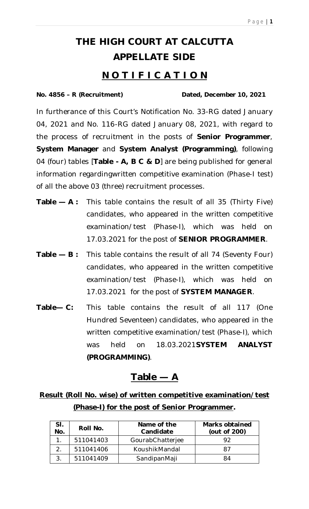# **THE HIGH COURT AT CALCUTTA APPELLATE SIDE**

# **N O T I F I C A T I O N**

#### **No. 4856 – R (Recruitment) Dated, December 10, 2021**

In furtherance of this Court's Notification No. 33-RG dated January 04, 2021 and No. 116-RG dated January 08, 2021, with regard to the process of recruitment in the posts of **Senior Programmer**, **System Manager** and **System Analyst (Programming)**, following 04 (four) tables [**Table - A, B C & D**] are being published for general information regardingwritten competitive examination (Phase-I test) of all the above 03 (three) recruitment processes.

- **Table — A :** This table contains the result of all 35 (Thirty Five) candidates, who appeared in the written competitive examination/test (Phase-I), which was held on 17.03.2021 for the post of **SENIOR PROGRAMMER**.
- **Table — B :** This table contains the result of all 74 (Seventy Four) candidates, who appeared in the written competitive examination/test (Phase-I), which was held on 17.03.2021 for the post of **SYSTEM MANAGER**.
- **Table— C:** This table contains the result of all 117 (One Hundred Seventeen) candidates, who appeared in the written competitive examination/test (Phase-I), which was held on 18.03.2021**SYSTEM ANALYST (PROGRAMMING)**.

## **Table — A**

**Result (Roll No. wise) of written competitive examination/test (Phase-I) for the post of Senior Programmer.**

| SI.<br>No. | Roll No.  | Name of the<br>Candidate | Marks obtained<br>(out of 200) |
|------------|-----------|--------------------------|--------------------------------|
|            | 511041403 | GourabChatterjee         |                                |
|            | 511041406 | KoushikMandal            | 87                             |
|            | 511041409 | SandipanMaji             | 84                             |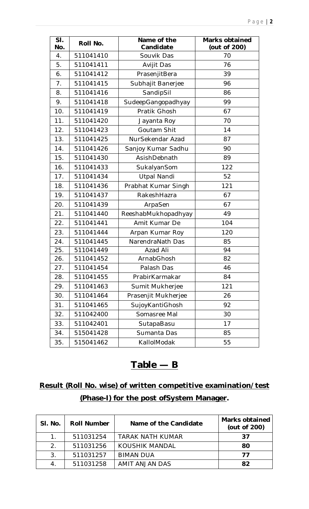| SI.<br>No. | Roll No.  | Name of the<br>Candidate | <b>Marks obtained</b><br>(out of 200) |
|------------|-----------|--------------------------|---------------------------------------|
| 4.         | 511041410 | Souvik Das               | 70                                    |
| 5.         | 511041411 | Avijit Das               | 76                                    |
| 6.         | 511041412 | PrasenjitBera            | 39                                    |
| 7.         | 511041415 | Subhajit Banerjee        | 96                                    |
| 8.         | 511041416 | SandipSil                | 86                                    |
| 9.         | 511041418 | SudeepGangopadhyay       | 99                                    |
| 10.        | 511041419 | Pratik Ghosh             | 67                                    |
| 11.        | 511041420 | Jayanta Roy              | 70                                    |
| 12.        | 511041423 | Goutam Shit              | 14                                    |
| 13.        | 511041425 | NurSekendar Azad         | 87                                    |
| 14.        | 511041426 | Sanjoy Kumar Sadhu       | 90                                    |
| 15.        | 511041430 | AsishDebnath             | 89                                    |
| 16.        | 511041433 | SukalyanSom              | 122                                   |
| 17.        | 511041434 | <b>Utpal Nandi</b>       | 52                                    |
| 18.        | 511041436 | Prabhat Kumar Singh      | 121                                   |
| 19.        | 511041437 | RakeshHazra              | 67                                    |
| 20.        | 511041439 | ArpaSen                  | 67                                    |
| 21.        | 511041440 | ReeshabMukhopadhyay      | 49                                    |
| 22.        | 511041441 | Amit Kumar De            | 104                                   |
| 23.        | 511041444 | Arpan Kumar Roy          | 120                                   |
| 24.        | 511041445 | NarendraNath Das         | 85                                    |
| 25.        | 511041449 | Azad Ali                 | 94                                    |
| 26.        | 511041452 | ArnabGhosh               | 82                                    |
| 27.        | 511041454 | Palash Das               | 46                                    |
| 28.        | 511041455 | PrabirKarmakar           | 84                                    |
| 29.        | 511041463 | Sumit Mukherjee          | 121                                   |
| 30.        | 511041464 | Prasenjit Mukherjee      | 26                                    |
| 31.        | 511041465 | SujoyKantiGhosh          | 92                                    |
| 32.        | 511042400 | Somasree Mal             | 30                                    |
| 33.        | 511042401 | SutapaBasu               | 17                                    |
| 34.        | 515041428 | Sumanta Das              | 85                                    |
| 35.        | 515041462 | KallolModak              | 55                                    |

# **Table — B**

# **Result (Roll No. wise) of written competitive examination/test (Phase-I) for the post ofSystem Manager.**

| SI. No.        | <b>Roll Number</b> | Name of the Candidate | <b>Marks obtained</b><br>(out of 200) |
|----------------|--------------------|-----------------------|---------------------------------------|
|                | 511031254          | TARAK NATH KUMAR      | 37                                    |
| 2 <sub>1</sub> | 511031256          | KOUSHIK MANDAL        | 80                                    |
| 3.             | 511031257          | <b>BIMAN DUA</b>      | 77                                    |
|                | 511031258          | AMIT ANJAN DAS        | 82                                    |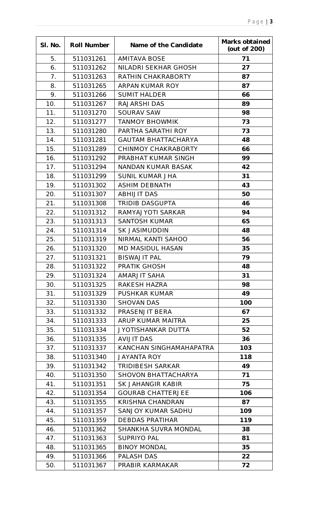| SI. No. | <b>Roll Number</b> | Name of the Candidate      | <b>Marks obtained</b><br>(out of 200) |
|---------|--------------------|----------------------------|---------------------------------------|
| 5.      | 511031261          | <b>AMITAVA BOSE</b>        | 71                                    |
| 6.      | 511031262          | NILADRI SEKHAR GHOSH       | 27                                    |
| 7.      | 511031263          | RATHIN CHAKRABORTY         | 87                                    |
| 8.      | 511031265          | ARPAN KUMAR ROY            | 87                                    |
| 9.      | 511031266          | <b>SUMIT HALDER</b>        | 66                                    |
| 10.     | 511031267          | <b>RAJARSHI DAS</b>        | 89                                    |
| 11.     | 511031270          | <b>SOURAV SAW</b>          | 98                                    |
| 12.     | 511031277          | <b>TANMOY BHOWMIK</b>      | 73                                    |
| 13.     | 511031280          | PARTHA SARATHI ROY         | 73                                    |
| 14.     | 511031281          | <b>GAUTAM BHATTACHARYA</b> | 48                                    |
| 15.     | 511031289          | <b>CHINMOY CHAKRABORTY</b> | 66                                    |
| 16.     | 511031292          | PRABHAT KUMAR SINGH        | 99                                    |
| 17.     | 511031294          | <b>NANDAN KUMAR BASAK</b>  | 42                                    |
| 18.     | 511031299          | <b>SUNIL KUMAR JHA</b>     | 31                                    |
| 19.     | 511031302          | <b>ASHIM DEBNATH</b>       | 43                                    |
| 20.     | 511031307          | <b>ABHIJIT DAS</b>         | 50                                    |
| 21.     | 511031308          | <b>TRIDIB DASGUPTA</b>     | 46                                    |
| 22.     | 511031312          | RAMYAJYOTI SARKAR          | 94                                    |
| 23.     | 511031313          | <b>SANTOSH KUMAR</b>       | 65                                    |
| 24.     | 511031314          | <b>SK JASIMUDDIN</b>       | 48                                    |
| 25.     | 511031319          | NIRMAL KANTI SAHOO         | 56                                    |
| 26.     | 511031320          | <b>MD MASIDUL HASAN</b>    | 35                                    |
| 27.     | 511031321          | <b>BISWAJIT PAL</b>        | 79                                    |
| 28.     | 511031322          | <b>PRATIK GHOSH</b>        | 48                                    |
| 29.     | 511031324          | <b>AMARJIT SAHA</b>        | 31                                    |
| 30.     | 511031325          | RAKESH HAZRA               | 98                                    |
| 31.     | 511031329          | <b>PUSHKAR KUMAR</b>       | 49                                    |
| 32.     | 511031330          | <b>SHOVAN DAS</b>          | 100                                   |
| 33.     | 511031332          | PRASENJIT BERA             | 67                                    |
| 34.     | 511031333          | ARUP KUMAR MAITRA          | 25                                    |
| 35.     | 511031334          | JYOTISHANKAR DUTTA         | 52                                    |
| 36.     | 511031335          | <b>AVIJIT DAS</b>          | 36                                    |
| 37.     | 511031337          | KANCHAN SINGHAMAHAPATRA    | 103                                   |
| 38.     | 511031340          | <b>JAYANTA ROY</b>         | 118                                   |
| 39.     | 511031342          | <b>TRIDIBESH SARKAR</b>    | 49                                    |
| 40.     | 511031350          | <b>SHOVON BHATTACHARYA</b> | 71                                    |
| 41.     | 511031351          | SK JAHANGIR KABIR          | 75                                    |
| 42.     | 511031354          | <b>GOURAB CHATTERJEE</b>   | 106                                   |
| 43.     | 511031355          | <b>KRISHNA CHANDRAN</b>    | 87                                    |
| 44.     | 511031357          | SANJOY KUMAR SADHU         | 109                                   |
| 45.     | 511031359          | <b>DEBDAS PRATIHAR</b>     | 119                                   |
| 46.     | 511031362          | SHANKHA SUVRA MONDAL       | 38                                    |
| 47.     | 511031363          | <b>SUPRIYO PAL</b>         | 81                                    |
| 48.     | 511031365          | <b>BINOY MONDAL</b>        | 35                                    |
| 49.     | 511031366          | PALASH DAS                 | 22                                    |
| 50.     | 511031367          | PRABIR KARMAKAR            | 72                                    |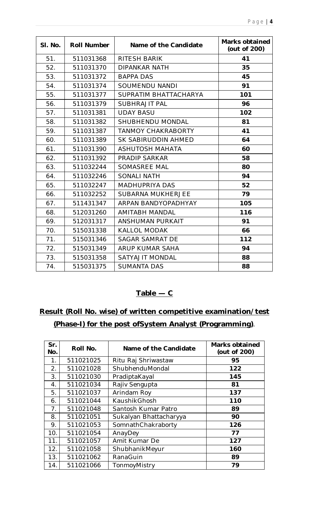| SI. No. | <b>Roll Number</b> | Name of the Candidate     | <b>Marks obtained</b><br>(out of 200) |
|---------|--------------------|---------------------------|---------------------------------------|
| 51.     | 511031368          | RITESH BARIK              | 41                                    |
| 52.     | 511031370          | <b>DIPANKAR NATH</b>      | 35                                    |
| 53.     | 511031372          | <b>BAPPA DAS</b>          | 45                                    |
| 54.     | 511031374          | <b>SOUMENDU NANDI</b>     | 91                                    |
| 55.     | 511031377          | SUPRATIM BHATTACHARYA     | 101                                   |
| 56.     | 511031379          | <b>SUBHRAJIT PAL</b>      | 96                                    |
| 57.     | 511031381          | <b>UDAY BASU</b>          | 102                                   |
| 58.     | 511031382          | SHUBHENDU MONDAL          | 81                                    |
| 59.     | 511031387          | <b>TANMOY CHAKRABORTY</b> | 41                                    |
| 60.     | 511031389          | SK SABIRUDDIN AHMED       | 64                                    |
| 61.     | 511031390          | <b>ASHUTOSH MAHATA</b>    | 60                                    |
| 62.     | 511031392          | <b>PRADIP SARKAR</b>      | 58                                    |
| 63.     | 511032244          | <b>SOMASREE MAL</b>       | 80                                    |
| 64.     | 511032246          | <b>SONALI NATH</b>        | 94                                    |
| 65.     | 511032247          | <b>MADHUPRIYA DAS</b>     | 52                                    |
| 66.     | 511032252          | <b>SUBARNA MUKHERJEE</b>  | 79                                    |
| 67.     | 511431347          | ARPAN BANDYOPADHYAY       | 105                                   |
| 68.     | 512031260          | <b>AMITABH MANDAL</b>     | 116                                   |
| 69.     | 512031317          | ANSHUMAN PURKAIT          | 91                                    |
| 70.     | 515031338          | <b>KALLOL MODAK</b>       | 66                                    |
| 71.     | 515031346          | <b>SAGAR SAMRAT DE</b>    | 112                                   |
| 72.     | 515031349          | ARUP KUMAR SAHA           | 94                                    |
| 73.     | 515031358          | SATYAJIT MONDAL           | 88                                    |
| 74.     | 515031375          | <b>SUMANTA DAS</b>        | 88                                    |

### $Table - C$

# **Result (Roll No. wise) of written competitive examination/test (Phase-I) for the post ofSystem Analyst (Programming)**.

| Sr.<br>No. | Roll No.  | Name of the Candidate  | <b>Marks obtained</b><br>(out of 200) |
|------------|-----------|------------------------|---------------------------------------|
| 1.         | 511021025 | Ritu Raj Shriwastaw    | 95                                    |
| 2.         | 511021028 | ShubhenduMondal        | 122                                   |
| 3.         | 511021030 | PradiptaKayal          | 145                                   |
| 4.         | 511021034 | Rajiv Sengupta         | 81                                    |
| 5.         | 511021037 | Arindam Roy            | 137                                   |
| 6.         | 511021044 | KaushikGhosh           | 110                                   |
| 7.         | 511021048 | Santosh Kumar Patro    | 89                                    |
| 8.         | 511021051 | Sukalyan Bhattacharyya | 90                                    |
| 9.         | 511021053 | SomnathChakraborty     | 126                                   |
| 10.        | 511021054 | AnayDey                | 77                                    |
| 11.        | 511021057 | Amit Kumar De          | 127                                   |
| 12.        | 511021058 | ShubhanikMeyur         | 160                                   |
| 13.        | 511021062 | RanaGuin               | 89                                    |
| 14.        | 511021066 | TonmoyMistry           | 79                                    |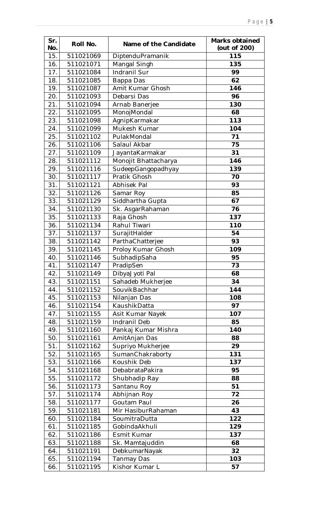| Sr.<br>No. | Roll No.  | Name of the Candidate | <b>Marks obtained</b><br>(out of 200) |
|------------|-----------|-----------------------|---------------------------------------|
| 15.        | 511021069 | DiptenduPramanik      | 115                                   |
| 16.        | 511021071 | Mangal Singh          | 135                                   |
| 17.        | 511021084 | Indranil Sur          | 99                                    |
| 18.        | 511021085 | Bappa Das             | 62                                    |
| 19.        | 511021087 | Amit Kumar Ghosh      | 146                                   |
| 20.        | 511021093 | Debarsi Das           | 96                                    |
| 21.        | 511021094 | Arnab Banerjee        | 130                                   |
| 22.        | 511021095 | MonojMondal           | 68                                    |
| 23.        | 511021098 | AgnipKarmakar         | 113                                   |
| 24.        | 511021099 | Mukesh Kumar          | 104                                   |
| 25.        | 511021102 | PulakMondal           | 71                                    |
| 26.        | 511021106 | Salaul Akbar          | 75                                    |
| 27.        | 511021109 | JayantaKarmakar       | 31                                    |
| 28.        | 511021112 | Monojit Bhattacharya  | 146                                   |
| 29.        | 511021116 | SudeepGangopadhyay    | 139                                   |
| 30.        | 511021117 | Pratik Ghosh          | 70                                    |
| 31.        | 511021121 | Abhisek Pal           | 93                                    |
| 32.        | 511021126 | Samar Roy             | 85                                    |
| 33.        | 511021129 | Siddhartha Gupta      | 67                                    |
| 34.        | 511021130 | Sk. AsgarRahaman      | 76                                    |
| 35.        | 511021133 | Raja Ghosh            | 137                                   |
| 36.        | 511021134 | Rahul Tiwari          | 110                                   |
| 37.        | 511021137 | SurajitHalder         | 54                                    |
| 38.        | 511021142 | ParthaChatterjee      | 93                                    |
| 39.        | 511021145 | Proloy Kumar Ghosh    | 109                                   |
| 40.        | 511021146 | SubhadipSaha          | 95                                    |
| 41.        | 511021147 | PradipSen             | 73                                    |
| 42.        | 511021149 | DibyaJyoti Pal        | 68                                    |
| 43.        | 511021151 | Sahadeb Mukherjee     | 34                                    |
| 44.        | 511021152 | SouvikBachhar         | 144                                   |
| 45.        | 511021153 | Nilanjan Das          | 108                                   |
| 46.        | 511021154 | KaushikDatta          | 97                                    |
| 47.        | 511021155 | Asit Kumar Nayek      | 107                                   |
| 48.        | 511021159 | Indranil Deb          | 85                                    |
| 49.        | 511021160 | Pankaj Kumar Mishra   | 140                                   |
| 50.        | 511021161 | AmitAnjan Das         | 88                                    |
| 51.        | 511021162 | Supriyo Mukherjee     | 29                                    |
| 52.        | 511021165 | SumanChakraborty      | 131                                   |
| 53.        | 511021166 | Koushik Deb           | 137                                   |
| 54.        | 511021168 | DebabrataPakira       | 95                                    |
| 55.        | 511021172 | Shubhadip Ray         | 88                                    |
| 56.        | 511021173 | Santanu Roy           | 51                                    |
| 57.        | 511021174 | Abhijnan Roy          | 72                                    |
| 58.        | 511021177 | Goutam Paul           | 26                                    |
| 59.        | 511021181 | Mir HasiburRahaman    | 43                                    |
| 60.        | 511021184 | SoumitraDutta         | 122                                   |
| 61.        | 511021185 | GobindaAkhuli         | 129                                   |
| 62.        | 511021186 | Esmit Kumar           | 137                                   |
| 63.        | 511021188 | Sk. Mamtajuddin       | 68                                    |
| 64.        | 511021191 | DebkumarNayak         | 32                                    |
| 65.        | 511021194 | Tanmay Das            | 103                                   |
| 66.        | 511021195 | Kishor Kumar L        | 57                                    |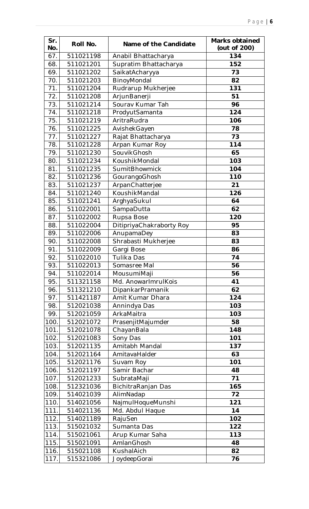| Sr.<br>No. | Roll No.  | Name of the Candidate      | <b>Marks obtained</b><br>(out of 200) |
|------------|-----------|----------------------------|---------------------------------------|
| 67.        | 511021198 | Anabil Bhattacharya        | 134                                   |
| 68.        | 511021201 | Supratim Bhattacharya      | 152                                   |
| 69.        | 511021202 | SaikatAcharyya             | 73                                    |
| 70.        | 511021203 | BinoyMondal                | 82                                    |
| 71.        | 511021204 | Rudrarup Mukherjee         | 131                                   |
| 72.        | 511021208 | ArjunBanerji               | 51                                    |
| 73.        | 511021214 | Sourav Kumar Tah           | 96                                    |
| 74.        | 511021218 | ProdyutSamanta             | 124                                   |
| 75.        | 511021219 | AritraRudra                | 106                                   |
| 76.        | 511021225 | AvishekGayen               | 78                                    |
| 77.        | 511021227 | Rajat Bhattacharya         | 73                                    |
| 78.        | 511021228 | Arpan Kumar Roy            | 114                                   |
| 79.        | 511021230 | SouvikGhosh                | 65                                    |
| 80.        | 511021234 | KoushikMondal              | 103                                   |
| 81.        | 511021235 | <b>SumitBhowmick</b>       | 104                                   |
| 82.        | 511021236 | GourangoGhosh              | 110                                   |
| 83.        | 511021237 | ArpanChatterjee            | 21                                    |
| 84.        | 511021240 | KoushikMandal              | 126                                   |
| 85.        | 511021241 | ArghyaSukul                | 64                                    |
| 86.        | 511022001 | SampaDutta                 | 62                                    |
| 87.        | 511022002 | Rupsa Bose                 | 120                                   |
| 88.        | 511022004 | DitipriyaChakraborty Roy   | 95                                    |
| 89.        | 511022006 | AnupamaDey                 | 83                                    |
| 90.        | 511022008 | Shrabasti Mukherjee        | 83                                    |
| 91.        | 511022009 | Gargi Bose                 | 86                                    |
| 92.        | 511022010 | Tulika Das                 | 74                                    |
| 93.        | 511022013 | Somasree Mal               | 56                                    |
| 94.        | 511022014 | MousumiMaji                | 56                                    |
| 95.        | 511321158 | Md. AnowarImrulKois        | 41                                    |
| 96.        | 511321210 | DipankarPramanik           | 62                                    |
| 97.        | 511421187 | Amit Kumar Dhara           | 124                                   |
| 98.        | 512021038 | Annindya Das               | 103                                   |
| 99.        | 512021059 | ArkaMaitra                 | 103                                   |
| 100.       | 512021072 |                            | 58                                    |
| 101.       | 512021078 | PrasenjitMajumder          | 148                                   |
| 102.       | 512021083 | ChayanBala                 | 101                                   |
| 103.       | 512021135 | Sony Das<br>Amitabh Mandal | 137                                   |
|            |           |                            |                                       |
| 104.       | 512021164 | AmitavaHalder              | 63                                    |
| 105.       | 512021176 | Suvam Roy                  | 101                                   |
| 106.       | 512021197 | Samir Bachar               | 48                                    |
| 107.       | 512021233 | SubrataMaji                | 71                                    |
| 108.       | 512321036 | BichitraRanjan Das         | 165                                   |
| 109.       | 514021039 | AlimNadap                  | 72                                    |
| 110.       | 514021056 | NajmulHoqueMunshi          | 121                                   |
| 111.       | 514021136 | Md. Abdul Haque            | 14                                    |
| 112.       | 514021189 | RajuSen                    | 102                                   |
| 113.       | 515021032 | Sumanta Das                | 122                                   |
| 114.       | 515021061 | Arup Kumar Saha            | 113                                   |
| 115.       | 515021091 | AmlanGhosh                 | 48                                    |
| 116.       | 515021108 | KushalAich                 | 82                                    |
| 117.       | 515321086 | JoydeepGorai               | 76                                    |